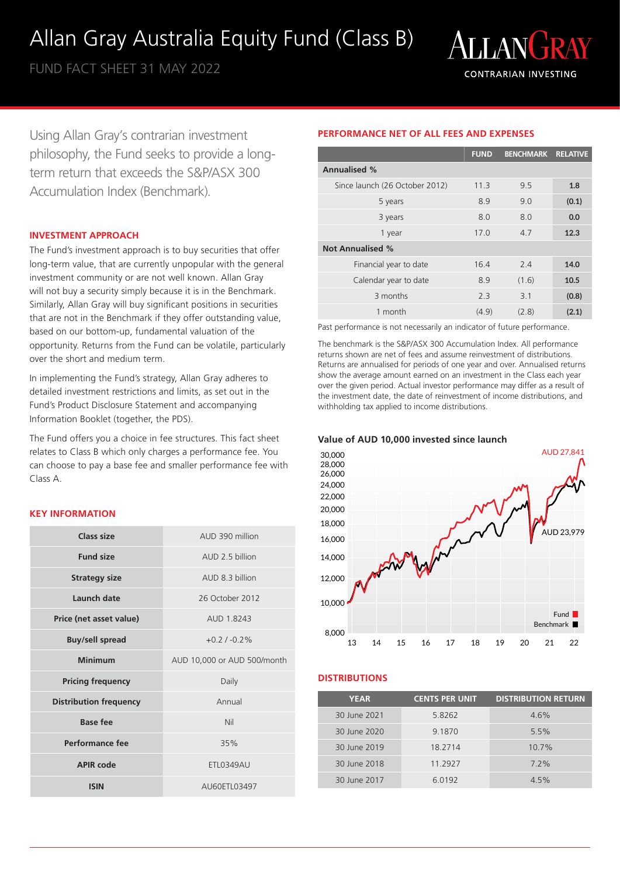# Allan Gray Australia Equity Fund (Class B)

FUND FACT SHEET 31 MAY 2022



Using Allan Gray's contrarian investment philosophy, the Fund seeks to provide a longterm return that exceeds the S&P/ASX 300 Accumulation Index (Benchmark).

# **INVESTMENT APPROACH**

The Fund's investment approach is to buy securities that offer long-term value, that are currently unpopular with the general investment community or are not well known. Allan Gray will not buy a security simply because it is in the Benchmark. Similarly, Allan Gray will buy significant positions in securities that are not in the Benchmark if they offer outstanding value, based on our bottom-up, fundamental valuation of the opportunity. Returns from the Fund can be volatile, particularly over the short and medium term.

In implementing the Fund's strategy, Allan Gray adheres to detailed investment restrictions and limits, as set out in the Fund's Product Disclosure Statement and accompanying Information Booklet (together, the PDS).

The Fund offers you a choice in fee structures. This fact sheet relates to Class B which only charges a performance fee. You can choose to pay a base fee and smaller performance fee with Class A.

## **KEY INFORMATION**

| Class size                    | AUD 390 million             |  |
|-------------------------------|-----------------------------|--|
| <b>Fund size</b>              | AUD 2.5 billion             |  |
| <b>Strategy size</b>          | AUD 8.3 billion             |  |
| Launch date                   | 26 October 2012             |  |
| Price (net asset value)       | AUD 18243                   |  |
| <b>Buy/sell spread</b>        | $+0.21 - 0.2%$              |  |
| <b>Minimum</b>                | AUD 10,000 or AUD 500/month |  |
| <b>Pricing frequency</b>      | Daily                       |  |
| <b>Distribution frequency</b> | Annual                      |  |
| Base fee                      | Nil                         |  |
| <b>Performance fee</b>        | 35%                         |  |
| <b>APIR code</b>              | <b>ETL0349AU</b>            |  |
| <b>ISIN</b>                   | AU60ETL03497                |  |

# **PERFORMANCE NET OF ALL FEES AND EXPENSES**

|                                | <b>FUND</b>     | <b>BENCHMARK</b> | <b>RELATIVE</b> |
|--------------------------------|-----------------|------------------|-----------------|
| <b>Annualised %</b>            |                 |                  |                 |
| Since launch (26 October 2012) | 11.3            | 9.5              | 1.8             |
| 5 years                        | 8.9             | 9.0              | (0.1)           |
| 3 years                        | 8.0             | 80               | 0.0             |
| 1 year                         | 17 <sub>0</sub> | 4.7              | 12.3            |
| <b>Not Annualised %</b>        |                 |                  |                 |
| Financial year to date         | 164             | 24               | 14.0            |
| Calendar year to date          | 8.9             | (1.6)            | 10.5            |
| 3 months                       | 2.3             | 3.1              | (0.8)           |
| 1 month                        | (4.9)           | (2.8)            | (2.1)           |

Past performance is not necessarily an indicator of future performance.

The benchmark is the S&P/ASX 300 Accumulation Index. All performance returns shown are net of fees and assume reinvestment of distributions. Returns are annualised for periods of one year and over. Annualised returns show the average amount earned on an investment in the Class each year over the given period. Actual investor performance may differ as a result of the investment date, the date of reinvestment of income distributions, and withholding tax applied to income distributions.





## **DISTRIBUTIONS**

| <b>YEAR</b>  | <b>CENTS PER UNIT</b> | <b>DISTRIBUTION RETURN</b> |
|--------------|-----------------------|----------------------------|
| 30 June 2021 | 5.8262                | 4.6%                       |
| 30 June 2020 | 9.1870                | 5.5%                       |
| 30 June 2019 | 18.2714               | $10.7\%$                   |
| 30 June 2018 | 11.2927               | $7.2\%$                    |
| 30 June 2017 | 6.0192                | 4.5%                       |